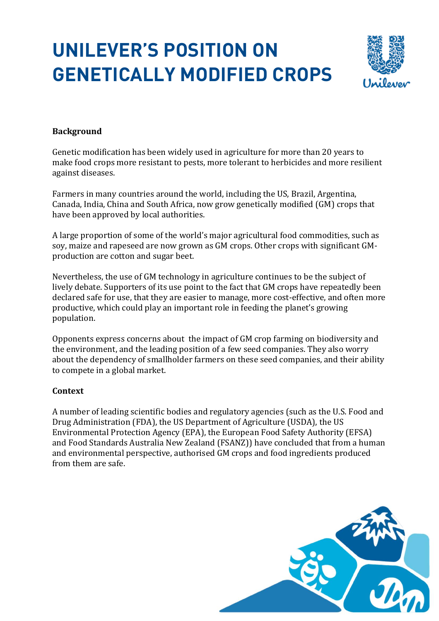# **UNILEVER'S POSITION ON GENETICALLY MODIFIED CROPS**



# **Background**

Genetic modification has been widely used in agriculture for more than 20 years to make food crops more resistant to pests, more tolerant to herbicides and more resilient against diseases.

Farmers in many countries around the world, including the US, Brazil, Argentina, Canada, India, China and South Africa, now grow genetically modified (GM) crops that have been approved by local authorities.

A large proportion of some of the world's major agricultural food commodities, such as soy, maize and rapeseed are now grown as GM crops. Other crops with significant GMproduction are cotton and sugar beet.

Nevertheless, the use of GM technology in agriculture continues to be the subject of lively debate. Supporters of its use point to the fact that GM crops have repeatedly been declared safe for use, that they are easier to manage, more cost-effective, and often more productive, which could play an important role in feeding the planet's growing population.

Opponents express concerns about the impact of GM crop farming on biodiversity and the environment, and the leading position of a few seed companies. They also worry about the dependency of smallholder farmers on these seed companies, and their ability to compete in a global market.

#### **Context**

A number of leading scientific bodies and regulatory agencies (such as the U.S. Food and Drug Administration (FDA), the US Department of Agriculture (USDA), the US Environmental Protection Agency (EPA), the European Food Safety Authority (EFSA) and Food Standards Australia New Zealand (FSANZ)) have concluded that from a human and environmental perspective, authorised GM crops and food ingredients produced from them are safe.

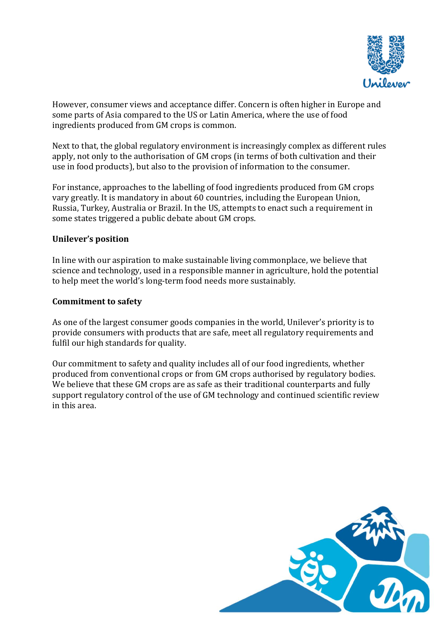

However, consumer views and acceptance differ. Concern is often higher in Europe and some parts of Asia compared to the US or Latin America, where the use of food ingredients produced from GM crops is common.

Next to that, the global regulatory environment is increasingly complex as different rules apply, not only to the authorisation of GM crops (in terms of both cultivation and their use in food products), but also to the provision of information to the consumer.

For instance, approaches to the labelling of food ingredients produced from GM crops vary greatly. It is mandatory in about 60 countries, including the European Union, Russia, Turkey, Australia or Brazil. In the US, attempts to enact such a requirement in some states triggered a public debate about GM crops.

## **Unilever's position**

In line with our aspiration to make sustainable living commonplace, we believe that science and technology, used in a responsible manner in agriculture, hold the potential to help meet the world's long-term food needs more sustainably.

## **Commitment to safety**

As one of the largest consumer goods companies in the world, Unilever's priority is to provide consumers with products that are safe, meet all regulatory requirements and fulfil our high standards for quality.

Our commitment to safety and quality includes all of our food ingredients, whether produced from conventional crops or from GM crops authorised by regulatory bodies. We believe that these GM crops are as safe as their traditional counterparts and fully support regulatory control of the use of GM technology and continued scientific review in this area.